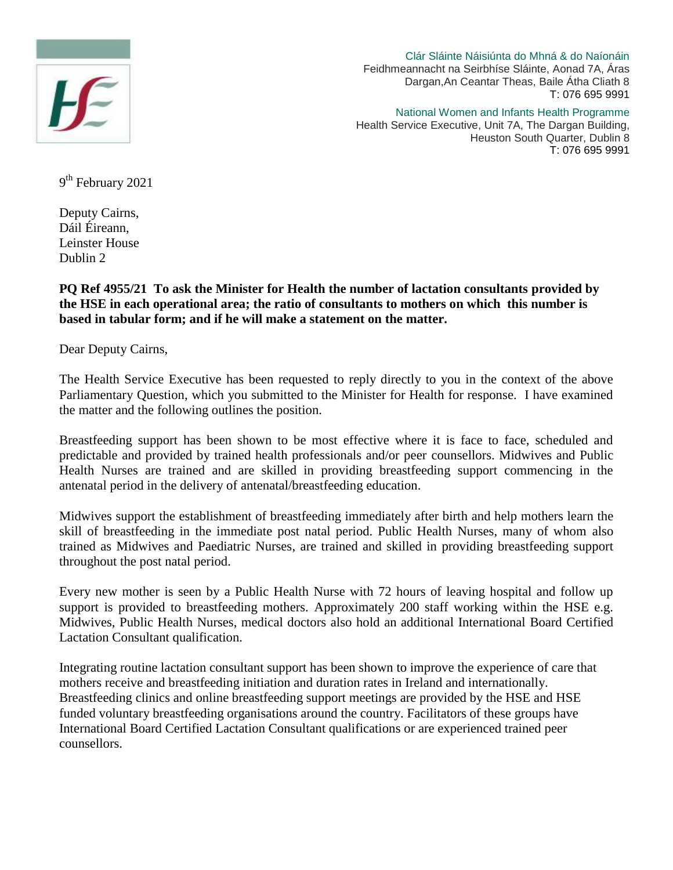

Clár Sláinte Náisiúnta do Mhná & do Naíonáin Feidhmeannacht na Seirbhíse Sláinte, Aonad 7A, Áras Dargan,An Ceantar Theas, Baile Átha Cliath 8 T: 076 695 9991

National Women and Infants Health Programme Health Service Executive, Unit 7A, The Dargan Building, Heuston South Quarter, Dublin 8 T: 076 695 9991

9<sup>th</sup> February 2021

Deputy Cairns, Dáil Éireann, Leinster House Dublin 2

**PQ Ref 4955/21 To ask the Minister for Health the number of lactation consultants provided by the HSE in each operational area; the ratio of consultants to mothers on which this number is based in tabular form; and if he will make a statement on the matter.**

Dear Deputy Cairns,

The Health Service Executive has been requested to reply directly to you in the context of the above Parliamentary Question, which you submitted to the Minister for Health for response. I have examined the matter and the following outlines the position.

Breastfeeding support has been shown to be most effective where it is face to face, scheduled and predictable and provided by trained health professionals and/or peer counsellors. Midwives and Public Health Nurses are trained and are skilled in providing breastfeeding support commencing in the antenatal period in the delivery of antenatal/breastfeeding education.

Midwives support the establishment of breastfeeding immediately after birth and help mothers learn the skill of breastfeeding in the immediate post natal period. Public Health Nurses, many of whom also trained as Midwives and Paediatric Nurses, are trained and skilled in providing breastfeeding support throughout the post natal period.

Every new mother is seen by a Public Health Nurse with 72 hours of leaving hospital and follow up support is provided to breastfeeding mothers. Approximately 200 staff working within the HSE e.g. Midwives, Public Health Nurses, medical doctors also hold an additional International Board Certified Lactation Consultant qualification.

Integrating routine lactation consultant support has been shown to improve the experience of care that mothers receive and breastfeeding initiation and duration rates in Ireland and internationally. Breastfeeding clinics and online breastfeeding support meetings are provided by the HSE and HSE funded voluntary breastfeeding organisations around the country. Facilitators of these groups have International Board Certified Lactation Consultant qualifications or are experienced trained peer counsellors.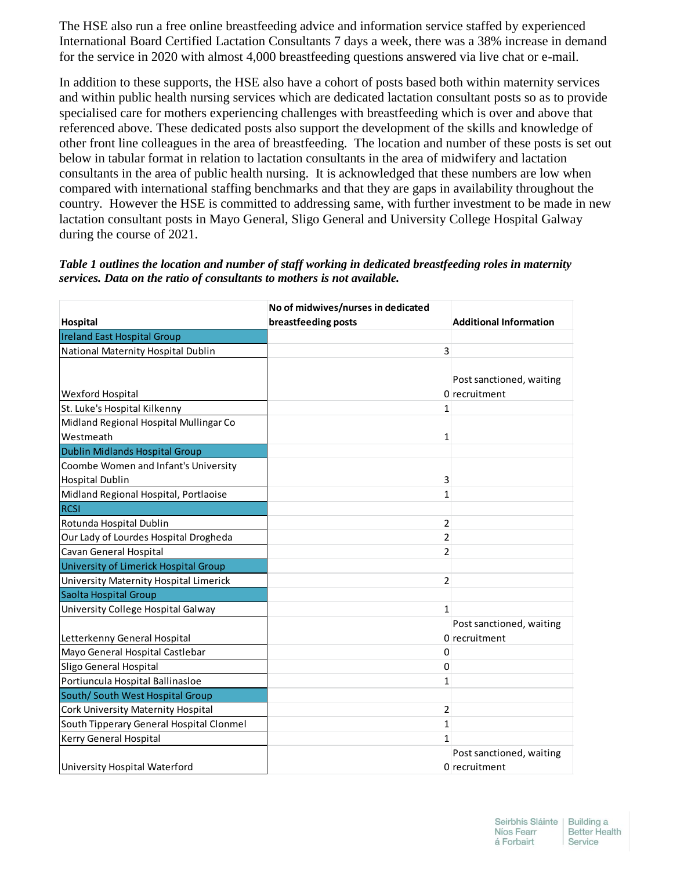The HSE also run a free online breastfeeding advice and information service staffed by experienced International Board Certified Lactation Consultants 7 days a week, there was a 38% increase in demand for the service in 2020 with almost 4,000 breastfeeding questions answered via live chat or e-mail.

In addition to these supports, the HSE also have a cohort of posts based both within maternity services and within public health nursing services which are dedicated lactation consultant posts so as to provide specialised care for mothers experiencing challenges with breastfeeding which is over and above that referenced above. These dedicated posts also support the development of the skills and knowledge of other front line colleagues in the area of breastfeeding. The location and number of these posts is set out below in tabular format in relation to lactation consultants in the area of midwifery and lactation consultants in the area of public health nursing. It is acknowledged that these numbers are low when compared with international staffing benchmarks and that they are gaps in availability throughout the country. However the HSE is committed to addressing same, with further investment to be made in new lactation consultant posts in Mayo General, Sligo General and University College Hospital Galway during the course of 2021.

*Table 1 outlines the location and number of staff working in dedicated breastfeeding roles in maternity services. Data on the ratio of consultants to mothers is not available.*

|                                          | No of midwives/nurses in dedicated |                               |
|------------------------------------------|------------------------------------|-------------------------------|
| Hospital                                 | breastfeeding posts                | <b>Additional Information</b> |
| <b>Ireland East Hospital Group</b>       |                                    |                               |
| National Maternity Hospital Dublin       | 3                                  |                               |
|                                          |                                    |                               |
|                                          |                                    | Post sanctioned, waiting      |
| <b>Wexford Hospital</b>                  |                                    | 0 recruitment                 |
| St. Luke's Hospital Kilkenny             | 1                                  |                               |
| Midland Regional Hospital Mullingar Co   |                                    |                               |
| Westmeath                                | 1                                  |                               |
| <b>Dublin Midlands Hospital Group</b>    |                                    |                               |
| Coombe Women and Infant's University     |                                    |                               |
| <b>Hospital Dublin</b>                   | 3                                  |                               |
| Midland Regional Hospital, Portlaoise    | 1                                  |                               |
| <b>RCSI</b>                              |                                    |                               |
| Rotunda Hospital Dublin                  | 2                                  |                               |
| Our Lady of Lourdes Hospital Drogheda    | 2                                  |                               |
| Cavan General Hospital                   | 2                                  |                               |
| University of Limerick Hospital Group    |                                    |                               |
| University Maternity Hospital Limerick   | 2                                  |                               |
| Saolta Hospital Group                    |                                    |                               |
| University College Hospital Galway       | 1                                  |                               |
|                                          |                                    | Post sanctioned, waiting      |
| Letterkenny General Hospital             |                                    | 0 recruitment                 |
| Mayo General Hospital Castlebar          | 0                                  |                               |
| Sligo General Hospital                   | 0                                  |                               |
| Portiuncula Hospital Ballinasloe         | 1                                  |                               |
| South/ South West Hospital Group         |                                    |                               |
| Cork University Maternity Hospital       | 2                                  |                               |
| South Tipperary General Hospital Clonmel | 1                                  |                               |
| Kerry General Hospital                   | 1                                  |                               |
|                                          |                                    | Post sanctioned, waiting      |
| University Hospital Waterford            |                                    | 0 recruitment                 |